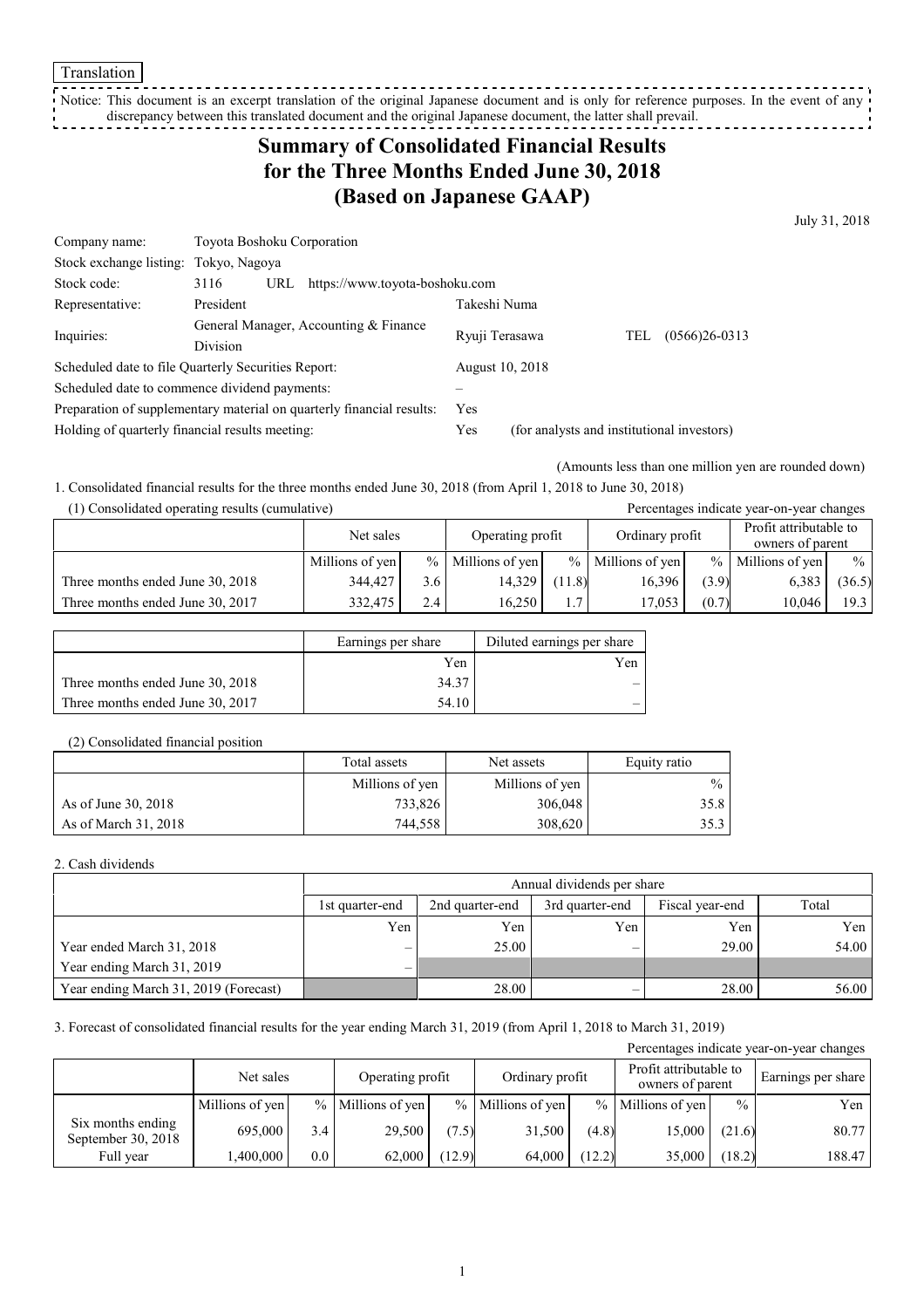Notice: This document is an excerpt translation of the original Japanese document and is only for reference purposes. In the event of any discrepancy between this translated document and the original Japanese document, the latter shall prevail.

# **Summary of Consolidated Financial Results for the Three Months Ended June 30, 2018 (Based on Japanese GAAP)**

July 31, 2018

| Company name:                                                         | Toyota Boshoku Corporation                               |                                |                                            |  |                        |  |  |  |
|-----------------------------------------------------------------------|----------------------------------------------------------|--------------------------------|--------------------------------------------|--|------------------------|--|--|--|
| Stock exchange listing:                                               | Tokyo, Nagoya                                            |                                |                                            |  |                        |  |  |  |
| Stock code:                                                           | 3116<br>URL                                              | https://www.toyota-boshoku.com |                                            |  |                        |  |  |  |
| Representative:                                                       | President                                                |                                | Takeshi Numa                               |  |                        |  |  |  |
| Inquiries:                                                            | General Manager, Accounting & Finance<br><b>Division</b> |                                | Ryuji Terasawa                             |  | $(0566)26-0313$<br>TEL |  |  |  |
|                                                                       |                                                          |                                |                                            |  |                        |  |  |  |
|                                                                       | Scheduled date to file Quarterly Securities Report:      |                                | August 10, 2018                            |  |                        |  |  |  |
|                                                                       | Scheduled date to commence dividend payments:            |                                |                                            |  |                        |  |  |  |
| Preparation of supplementary material on quarterly financial results: |                                                          |                                | Yes                                        |  |                        |  |  |  |
| Holding of quarterly financial results meeting:                       |                                                          | Yes                            | (for analysts and institutional investors) |  |                        |  |  |  |

(Amounts less than one million yen are rounded down)

1. Consolidated financial results for the three months ended June 30, 2018 (from April 1, 2018 to June 30, 2018)

(1) Consolidated operating results (cumulative) Percentages indicate year-on-year changes

|                                  | Net sales       |     | Operating profit    |                | Ordinary profit     |       | Profit attributable to<br>owners of parent |               |
|----------------------------------|-----------------|-----|---------------------|----------------|---------------------|-------|--------------------------------------------|---------------|
|                                  | Millions of yen |     | $%$ Millions of yen |                | $%$ Millions of yen |       | $%$ Millions of yen                        | $\frac{0}{0}$ |
| Three months ended June 30, 2018 | 344.427         | 3.6 | 14.329              | (11.8)         | 16.396              | (3.9) | 6,383                                      | (36.5)        |
| Three months ended June 30, 2017 | 332,475         | 2.4 | 16.250              | $\overline{ }$ | 17.053              | (0.7) | 10.046                                     | 19.3          |

|                                  | Earnings per share | Diluted earnings per share |
|----------------------------------|--------------------|----------------------------|
|                                  | Yen                | Yen                        |
| Three months ended June 30, 2018 | 34.37              |                            |
| Three months ended June 30, 2017 | 54.10              |                            |

#### (2) Consolidated financial position

|                      | Total assets    | Net assets      | Equity ratio  |
|----------------------|-----------------|-----------------|---------------|
|                      | Millions of yen | Millions of yen | $\frac{0}{0}$ |
| As of June 30, 2018  | 733,826         | 306,048         | 35.8          |
| As of March 31, 2018 | 744,558         | 308,620         | 35.3          |

#### 2. Cash dividends

|                                       |                 | Annual dividends per share |                 |                 |       |  |  |  |  |  |
|---------------------------------------|-----------------|----------------------------|-----------------|-----------------|-------|--|--|--|--|--|
|                                       | 1st quarter-end | 2nd quarter-end            | 3rd quarter-end | Fiscal year-end | Total |  |  |  |  |  |
|                                       | Yen             | Yen                        | Yen             | Yen             | Yen   |  |  |  |  |  |
| Year ended March 31, 2018             | $\qquad \qquad$ | 25.00                      | -               | 29.00           | 54.00 |  |  |  |  |  |
| Year ending March 31, 2019            | $\qquad \qquad$ |                            |                 |                 |       |  |  |  |  |  |
| Year ending March 31, 2019 (Forecast) |                 | 28.00                      |                 | 28.00           | 56.00 |  |  |  |  |  |

3. Forecast of consolidated financial results for the year ending March 31, 2019 (from April 1, 2018 to March 31, 2019)

| Percentages indicate year-on-year changes |                 |         |                     |        |                     |       |                                            |               |                    |  |  |
|-------------------------------------------|-----------------|---------|---------------------|--------|---------------------|-------|--------------------------------------------|---------------|--------------------|--|--|
|                                           | Net sales       |         | Operating profit    |        | Ordinary profit     |       | Profit attributable to<br>owners of parent |               | Earnings per share |  |  |
|                                           | Millions of yen |         | $%$ Millions of yen |        | $%$ Millions of yen |       | $%$ Millions of yen                        | $\frac{0}{0}$ | Yen                |  |  |
| Six months ending<br>September 30, 2018   | 695,000         | 3.4     | 29,500              | (7.5)  | 31,500              | (4.8) | 15,000                                     | (21.6)        | 80.77              |  |  |
| Full year                                 | .400.000        | $0.0\,$ | 62,000              | (12.9) | 64.000              | 12.2) | 35,000                                     | (18.2)        | 188.47             |  |  |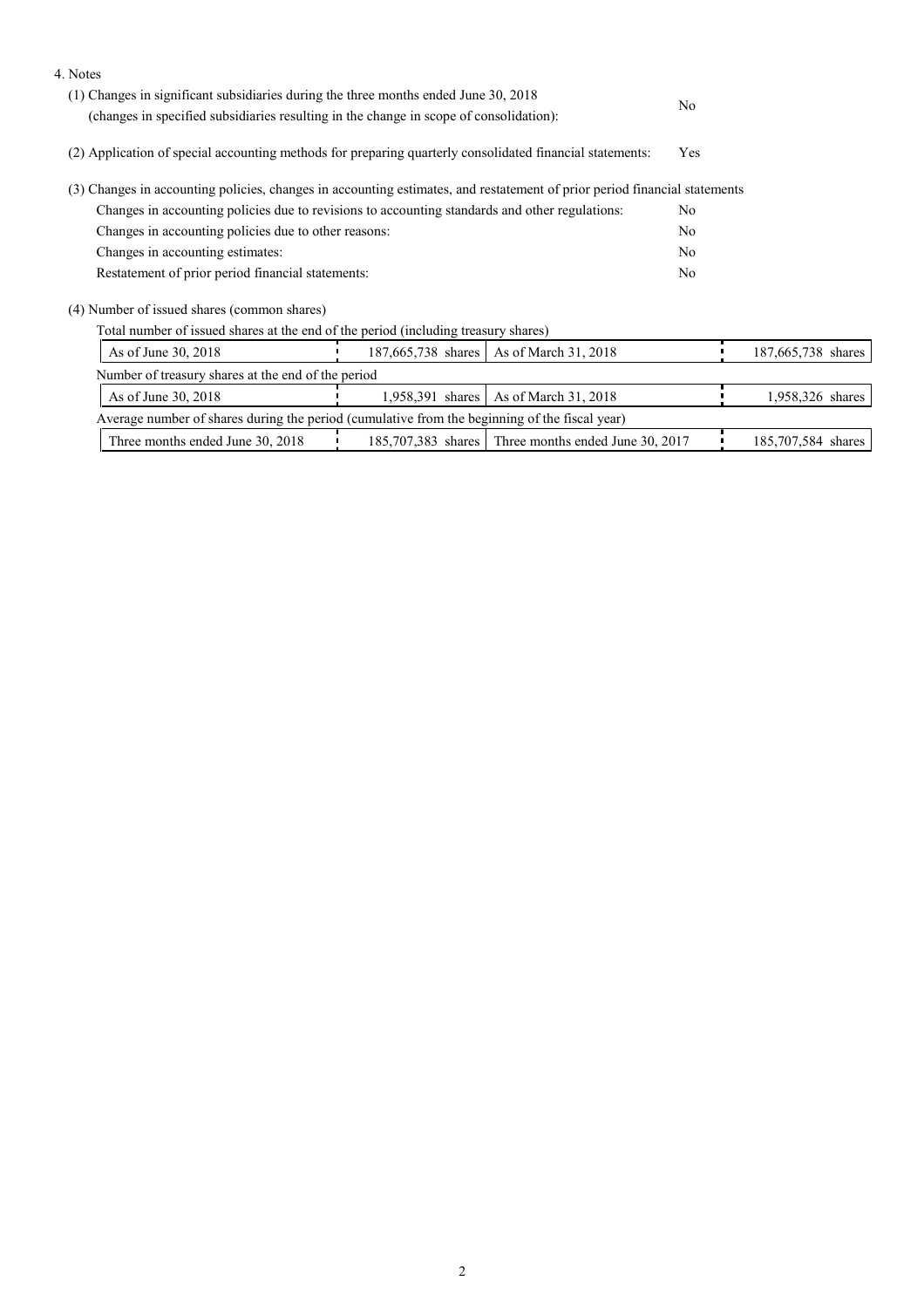| 4. Notes                                                                                                                  |                  |                                                     |                |                    |
|---------------------------------------------------------------------------------------------------------------------------|------------------|-----------------------------------------------------|----------------|--------------------|
| (1) Changes in significant subsidiaries during the three months ended June 30, 2018                                       | N <sub>0</sub>   |                                                     |                |                    |
| (changes in specified subsidiaries resulting in the change in scope of consolidation):                                    |                  |                                                     |                |                    |
| (2) Application of special accounting methods for preparing quarterly consolidated financial statements:                  |                  |                                                     | Yes            |                    |
| (3) Changes in accounting policies, changes in accounting estimates, and restatement of prior period financial statements |                  |                                                     |                |                    |
| Changes in accounting policies due to revisions to accounting standards and other regulations:                            |                  |                                                     | N <sub>0</sub> |                    |
| Changes in accounting policies due to other reasons:                                                                      |                  |                                                     | N <sub>0</sub> |                    |
| Changes in accounting estimates:                                                                                          |                  | No                                                  |                |                    |
| Restatement of prior period financial statements:                                                                         |                  |                                                     | N <sub>0</sub> |                    |
| (4) Number of issued shares (common shares)                                                                               |                  |                                                     |                |                    |
| Total number of issued shares at the end of the period (including treasury shares)                                        |                  |                                                     |                |                    |
| As of June 30, 2018                                                                                                       |                  | 187,665,738 shares   As of March 31, 2018           |                | 187,665,738 shares |
| Number of treasury shares at the end of the period                                                                        |                  |                                                     |                |                    |
| As of June 30, 2018                                                                                                       | 1,958,391 shares | As of March 31, 2018                                |                | 1,958,326 shares   |
| Average number of shares during the period (cumulative from the beginning of the fiscal year)                             |                  |                                                     |                |                    |
| Three months ended June 30, 2018                                                                                          |                  | 185,707,383 shares Three months ended June 30, 2017 |                | 185,707,584 shares |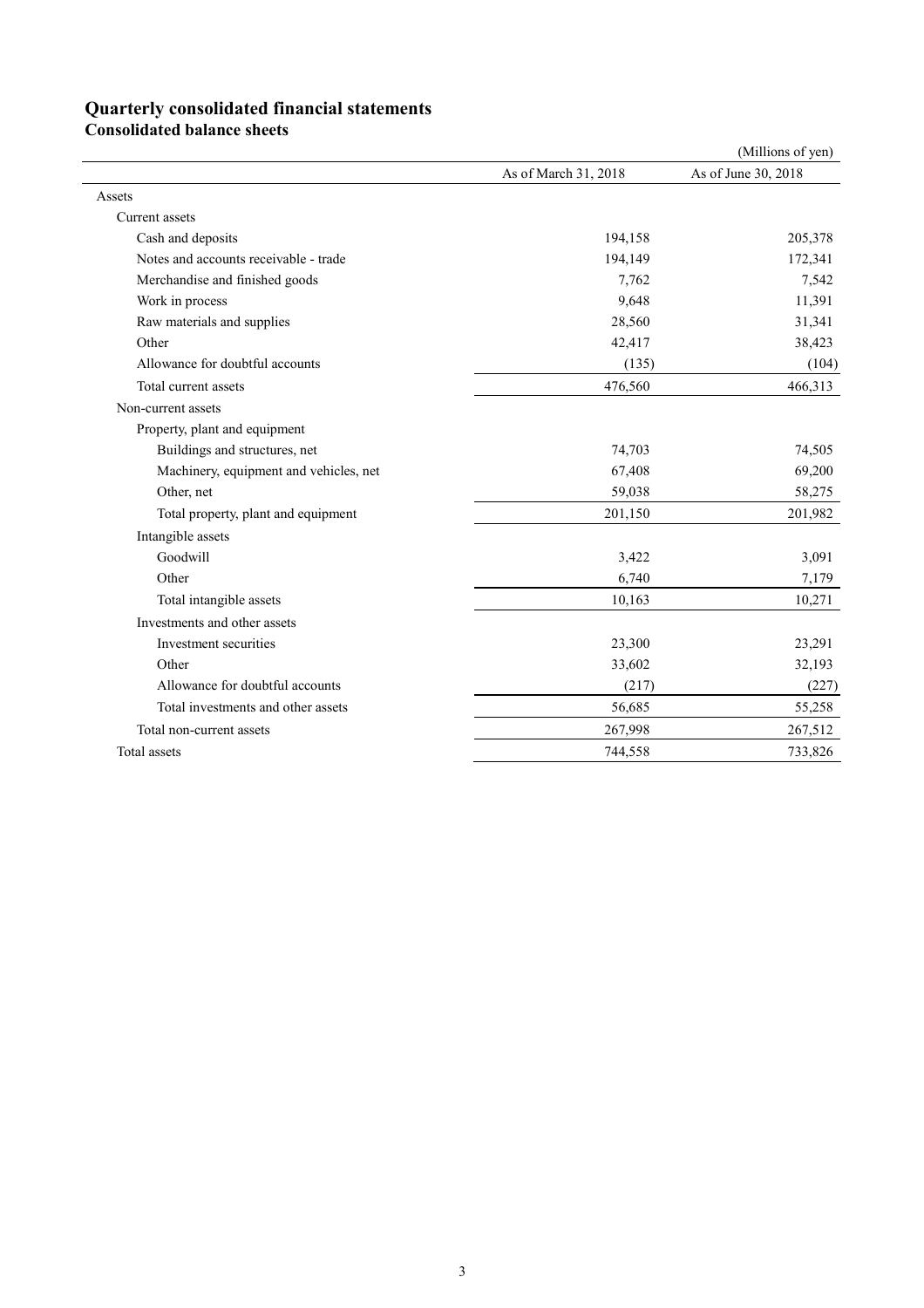## **Quarterly consolidated financial statements**

**Consolidated balance sheets**

|                                        |                      | (Millions of yen)   |
|----------------------------------------|----------------------|---------------------|
|                                        | As of March 31, 2018 | As of June 30, 2018 |
| Assets                                 |                      |                     |
| Current assets                         |                      |                     |
| Cash and deposits                      | 194,158              | 205,378             |
| Notes and accounts receivable - trade  | 194,149              | 172,341             |
| Merchandise and finished goods         | 7,762                | 7,542               |
| Work in process                        | 9,648                | 11,391              |
| Raw materials and supplies             | 28,560               | 31,341              |
| Other                                  | 42,417               | 38,423              |
| Allowance for doubtful accounts        | (135)                | (104)               |
| Total current assets                   | 476,560              | 466,313             |
| Non-current assets                     |                      |                     |
| Property, plant and equipment          |                      |                     |
| Buildings and structures, net          | 74,703               | 74,505              |
| Machinery, equipment and vehicles, net | 67,408               | 69,200              |
| Other, net                             | 59,038               | 58,275              |
| Total property, plant and equipment    | 201,150              | 201,982             |
| Intangible assets                      |                      |                     |
| Goodwill                               | 3,422                | 3,091               |
| Other                                  | 6,740                | 7,179               |
| Total intangible assets                | 10,163               | 10,271              |
| Investments and other assets           |                      |                     |
| Investment securities                  | 23,300               | 23,291              |
| Other                                  | 33,602               | 32,193              |
| Allowance for doubtful accounts        | (217)                | (227)               |
| Total investments and other assets     | 56,685               | 55,258              |
| Total non-current assets               | 267,998              | 267,512             |
| Total assets                           | 744,558              | 733,826             |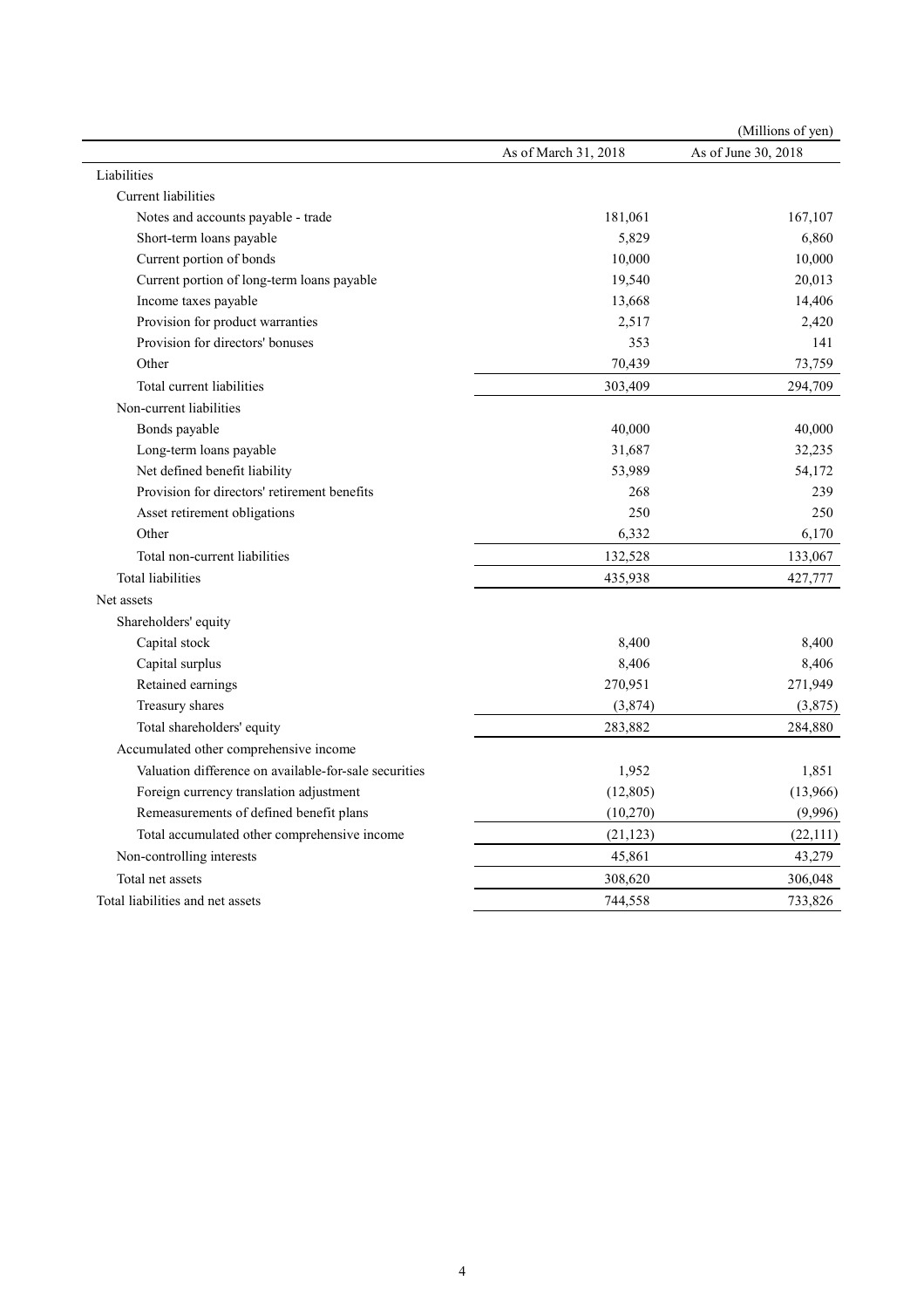|                                                       |                      | (Millions of yen)   |
|-------------------------------------------------------|----------------------|---------------------|
|                                                       | As of March 31, 2018 | As of June 30, 2018 |
| Liabilities                                           |                      |                     |
| <b>Current liabilities</b>                            |                      |                     |
| Notes and accounts payable - trade                    | 181,061              | 167,107             |
| Short-term loans payable                              | 5,829                | 6,860               |
| Current portion of bonds                              | 10,000               | 10,000              |
| Current portion of long-term loans payable            | 19,540               | 20,013              |
| Income taxes payable                                  | 13,668               | 14,406              |
| Provision for product warranties                      | 2,517                | 2,420               |
| Provision for directors' bonuses                      | 353                  | 141                 |
| Other                                                 | 70,439               | 73,759              |
| Total current liabilities                             | 303,409              | 294,709             |
| Non-current liabilities                               |                      |                     |
| Bonds payable                                         | 40,000               | 40,000              |
| Long-term loans payable                               | 31,687               | 32,235              |
| Net defined benefit liability                         | 53,989               | 54,172              |
| Provision for directors' retirement benefits          | 268                  | 239                 |
| Asset retirement obligations                          | 250                  | 250                 |
| Other                                                 | 6,332                | 6,170               |
| Total non-current liabilities                         | 132,528              | 133,067             |
| <b>Total liabilities</b>                              | 435,938              | 427,777             |
| Net assets                                            |                      |                     |
| Shareholders' equity                                  |                      |                     |
| Capital stock                                         | 8,400                | 8,400               |
| Capital surplus                                       | 8,406                | 8,406               |
| Retained earnings                                     | 270,951              | 271,949             |
| Treasury shares                                       | (3,874)              | (3,875)             |
| Total shareholders' equity                            | 283,882              | 284,880             |
| Accumulated other comprehensive income                |                      |                     |
| Valuation difference on available-for-sale securities | 1,952                | 1,851               |
| Foreign currency translation adjustment               | (12, 805)            | (13,966)            |
| Remeasurements of defined benefit plans               | (10,270)             | (9,996)             |
| Total accumulated other comprehensive income          | (21, 123)            | (22, 111)           |
| Non-controlling interests                             | 45,861               | 43,279              |
| Total net assets                                      | 308,620              | 306,048             |
| Total liabilities and net assets                      | 744,558              | 733,826             |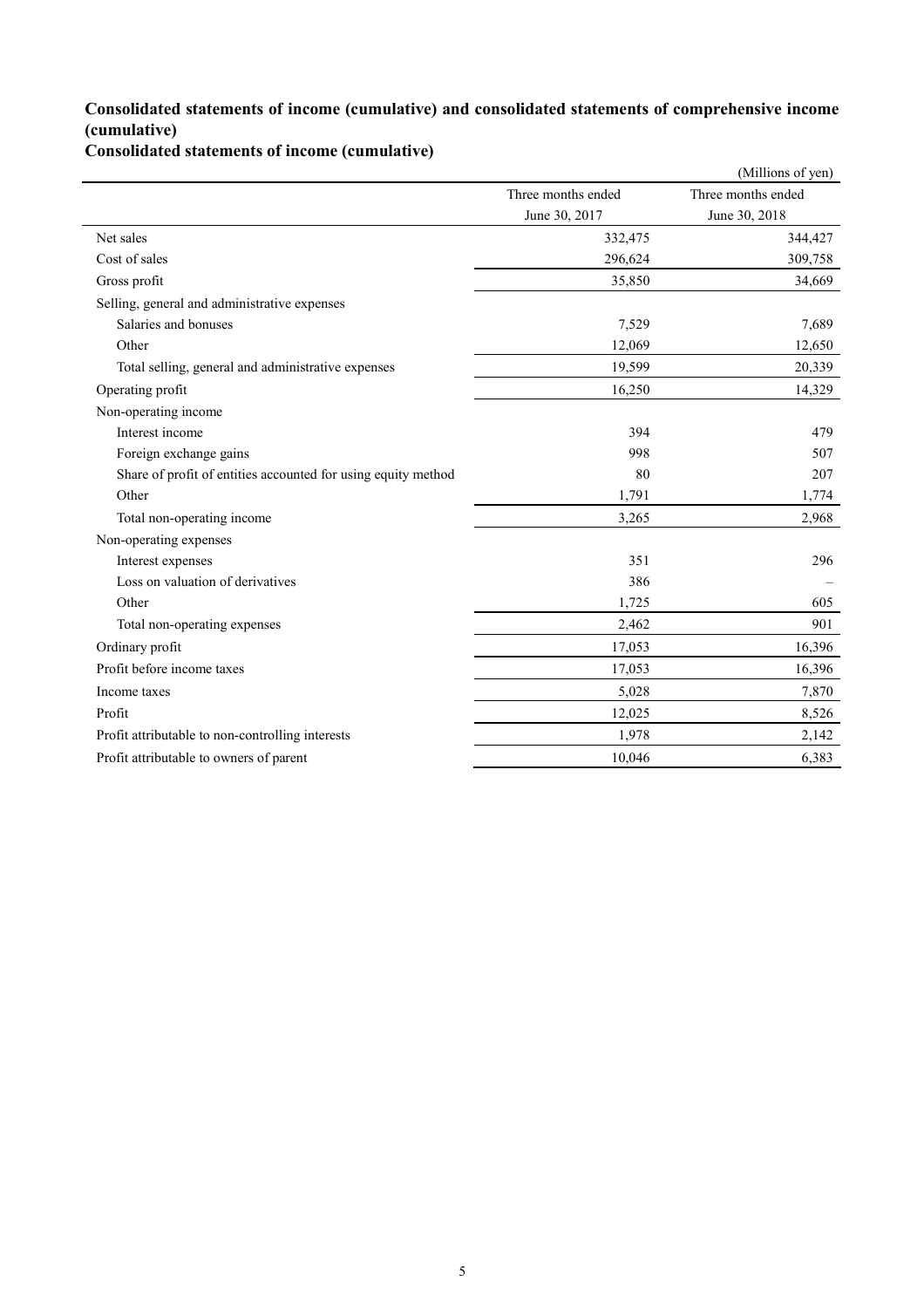### **Consolidated statements of income (cumulative) and consolidated statements of comprehensive income (cumulative)**

**Consolidated statements of income (cumulative)**

|                                                               |                    | (Millions of yen)  |
|---------------------------------------------------------------|--------------------|--------------------|
|                                                               | Three months ended | Three months ended |
|                                                               | June 30, 2017      | June 30, 2018      |
| Net sales                                                     | 332,475            | 344,427            |
| Cost of sales                                                 | 296,624            | 309,758            |
| Gross profit                                                  | 35,850             | 34,669             |
| Selling, general and administrative expenses                  |                    |                    |
| Salaries and bonuses                                          | 7,529              | 7,689              |
| Other                                                         | 12,069             | 12,650             |
| Total selling, general and administrative expenses            | 19,599             | 20,339             |
| Operating profit                                              | 16,250             | 14,329             |
| Non-operating income                                          |                    |                    |
| Interest income                                               | 394                | 479                |
| Foreign exchange gains                                        | 998                | 507                |
| Share of profit of entities accounted for using equity method | 80                 | 207                |
| Other                                                         | 1,791              | 1,774              |
| Total non-operating income                                    | 3,265              | 2,968              |
| Non-operating expenses                                        |                    |                    |
| Interest expenses                                             | 351                | 296                |
| Loss on valuation of derivatives                              | 386                |                    |
| Other                                                         | 1,725              | 605                |
| Total non-operating expenses                                  | 2,462              | 901                |
| Ordinary profit                                               | 17,053             | 16,396             |
| Profit before income taxes                                    | 17,053             | 16,396             |
| Income taxes                                                  | 5,028              | 7,870              |
| Profit                                                        | 12,025             | 8,526              |
| Profit attributable to non-controlling interests              | 1,978              | 2,142              |
| Profit attributable to owners of parent                       | 10,046             | 6,383              |
|                                                               |                    |                    |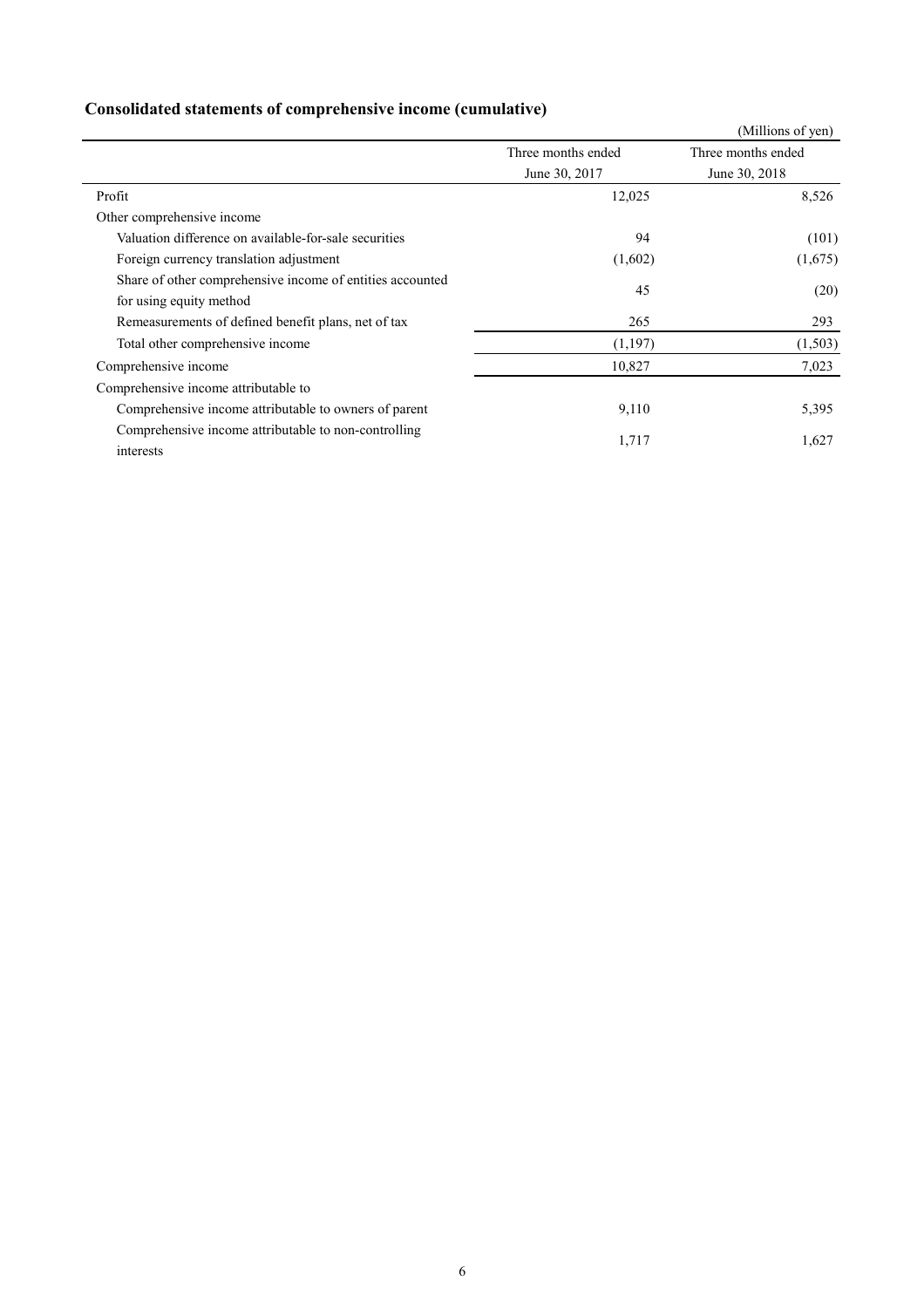# **Consolidated statements of comprehensive income (cumulative)**

|                                                           |                    | (Millions of yen)  |
|-----------------------------------------------------------|--------------------|--------------------|
|                                                           | Three months ended | Three months ended |
|                                                           | June 30, 2017      | June 30, 2018      |
| Profit                                                    | 12,025             | 8,526              |
| Other comprehensive income                                |                    |                    |
| Valuation difference on available-for-sale securities     | 94                 | (101)              |
| Foreign currency translation adjustment                   | (1,602)            | (1,675)            |
| Share of other comprehensive income of entities accounted | 45                 |                    |
| for using equity method                                   |                    | (20)               |
| Remeasurements of defined benefit plans, net of tax       | 265                | 293                |
| Total other comprehensive income                          | (1,197)            | (1, 503)           |
| Comprehensive income                                      | 10,827             | 7,023              |
| Comprehensive income attributable to                      |                    |                    |
| Comprehensive income attributable to owners of parent     | 9,110              | 5,395              |
| Comprehensive income attributable to non-controlling      |                    |                    |
| interests                                                 | 1,717              | 1,627              |